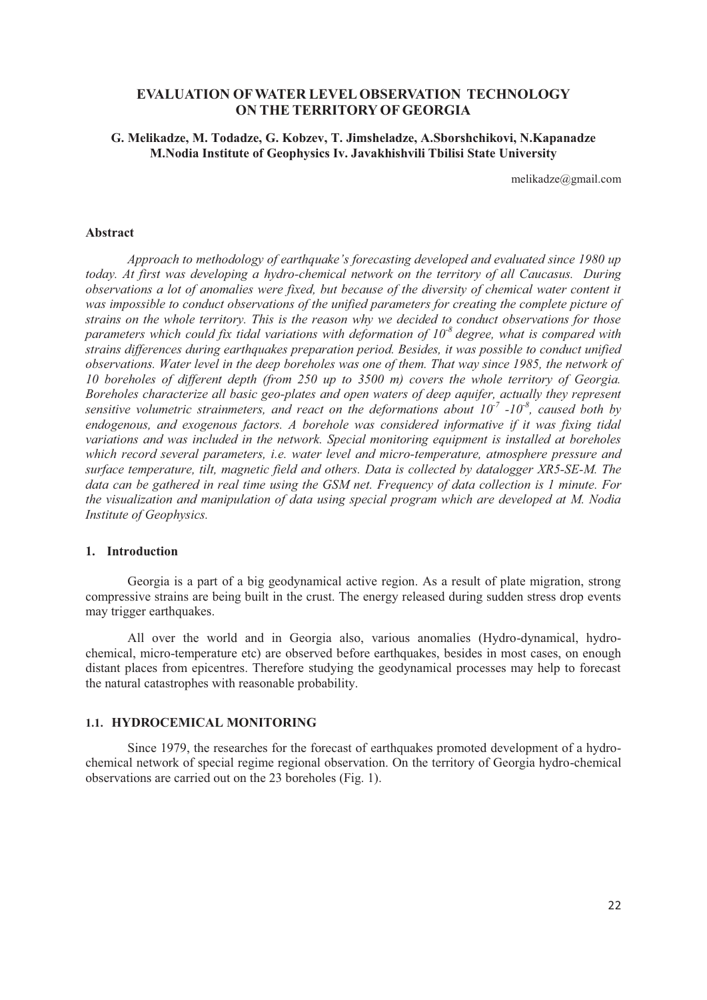# **EVALUATION OFWATER LEVELOBSERVATION TECHNOLOGY ON THE TERRITORY OF GEORGIA**

## **G. Melikadze, M. Todadze, G. Kobzev, T. Jimsheladze, A.Sborshchikovi, N.Kapanadze M.Nodia Institute of Geophysics Iv. Javakhishvili Tbilisi State University**

melikadze@gmail.com

#### **Abstract**

*Approach to methodology of earthquake's forecasting developed and evaluated since 1980 up today. At first was developing a hydro-chemical network on the territory of all Caucasus. During observations a lot of anomalies were fixed, but because of the diversity of chemical water content it was impossible to conduct observations of the unified parameters for creating the complete picture of strains on the whole territory. This is the reason why we decided to conduct observations for those parameters which could fix tidal variations with deformation of 10-8 degree, what is compared with strains differences during earthquakes preparation period. Besides, it was possible to conduct unified observations. Water level in the deep boreholes was one of them. That way since 1985, the network of 10 boreholes of different depth (from 250 up to 3500 m) covers the whole territory of Georgia. Boreholes characterize all basic geo-plates and open waters of deep aquifer, actually they represent sensitive volumetric strainmeters, and react on the deformations about*  $10^{-7}$  *-10<sup>-8</sup>, caused both by endogenous, and exogenous factors. A borehole was considered informative if it was fixing tidal variations and was included in the network. Special monitoring equipment is installed at boreholes which record several parameters, i.e. water level and micro-temperature, atmosphere pressure and surface temperature, tilt, magnetic field and others. Data is collected by datalogger XR5-SE-M. The data can be gathered in real time using the GSM net. Frequency of data collection is 1 minute. For the visualization and manipulation of data using special program which are developed at M. Nodia Institute of Geophysics.* 

## **1. Introduction**

Georgia is a part of a big geodynamical active region. As a result of plate migration, strong compressive strains are being built in the crust. The energy released during sudden stress drop events may trigger earthquakes.

All over the world and in Georgia also, various anomalies (Hydro-dynamical, hydrochemical, micro-temperature etc) are observed before earthquakes, besides in most cases, on enough distant places from epicentres. Therefore studying the geodynamical processes may help to forecast the natural catastrophes with reasonable probability.

## **1.1. HYDROCEMICAL MONITORING**

Since 1979, the researches for the forecast of earthquakes promoted development of a hydrochemical network of special regime regional observation. On the territory of Georgia hydro-chemical observations are carried out on the 23 boreholes (Fig. 1).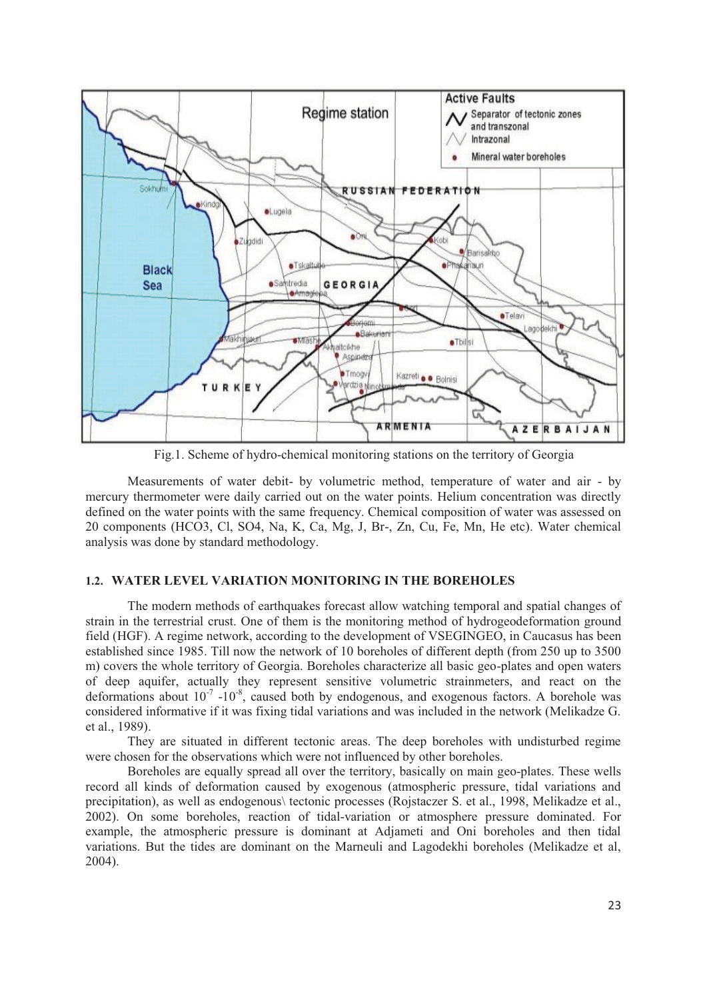

Fig.1. Scheme of hydro-chemical monitoring stations on the territory of Georgia

Measurements of water debit- by volumetric method, temperature of water and air - by mercury thermometer were daily carried out on the water points. Helium concentration was directly defined on the water points with the same frequency. Chemical composition of water was assessed on 20 components (HCO3, Cl, SO4, Na, K, Ca, Mg, J, Br-, Zn, Cu, Fe, Mn, He etc). Water chemical analysis was done by standard methodology.

## **1.2. WATER LEVEL VARIATION MONITORING IN THE BOREHOLES**

The modern methods of earthquakes forecast allow watching temporal and spatial changes of strain in the terrestrial crust. One of them is the monitoring method of hydrogeodeformation ground field (HGF). A regime network, according to the development of VSEGINGEO, in Caucasus has been established since 1985. Till now the network of 10 boreholes of different depth (from 250 up to 3500 m) covers the whole territory of Georgia. Boreholes characterize all basic geo-plates and open waters of deep aquifer, actually they represent sensitive volumetric strainmeters, and react on the deformations about  $10^{-7}$  -10<sup>-8</sup>, caused both by endogenous, and exogenous factors. A borehole was considered informative if it was fixing tidal variations and was included in the network (Melikadze G. et al., 1989).

They are situated in different tectonic areas. The deep boreholes with undisturbed regime were chosen for the observations which were not influenced by other boreholes.

Boreholes are equally spread all over the territory, basically on main geo-plates. These wells record all kinds of deformation caused by exogenous (atmospheric pressure, tidal variations and precipitation), as well as endogenous\ tectonic processes (Rojstaczer S. et al., 1998, Melikadze et al., 2002). On some boreholes, reaction of tidal-variation or atmosphere pressure dominated. For example, the atmospheric pressure is dominant at Adjameti and Oni boreholes and then tidal variations. But the tides are dominant on the Marneuli and Lagodekhi boreholes (Melikadze et al, 2004).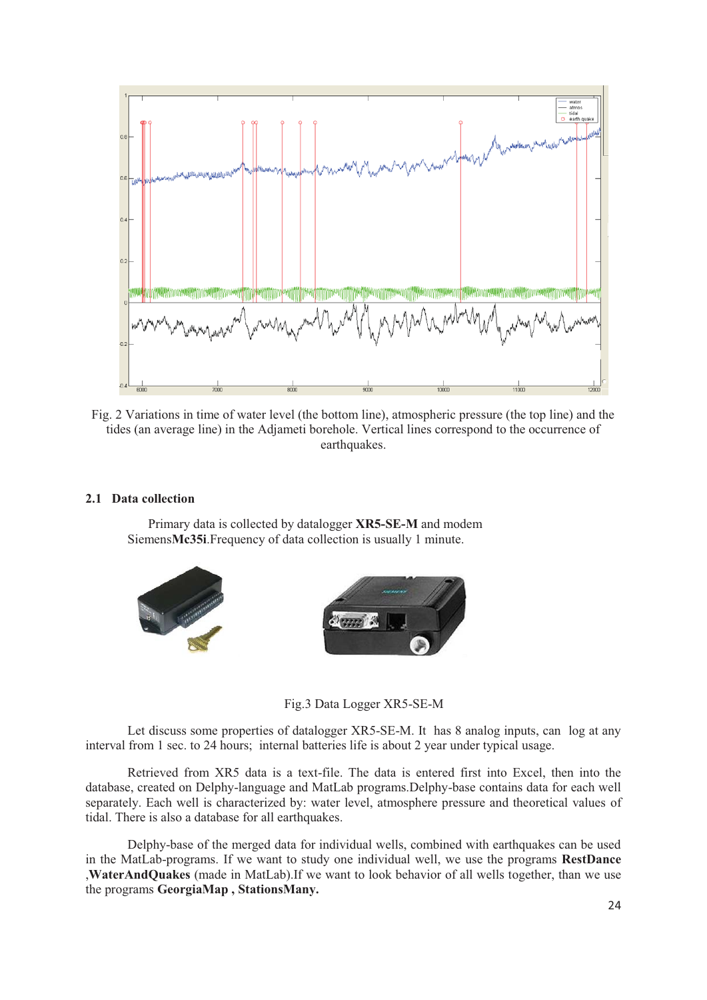

Fig. 2 Variations in time of water level (the bottom line), atmospheric pressure (the top line) and the tides (an average line) in the Adjameti borehole. Vertical lines correspond to the occurrence of earthquakes.

#### **2.1 Data collection**

Primary data is collected by datalogger **XR5-SE-M** and modem Siemens**Mc35i**.Frequency of data collection is usually 1 minute.



Fig.3 Data Logger XR5-SE-M

Let discuss some properties of datalogger XR5-SE-M. It has 8 analog inputs, can log at any interval from 1 sec. to 24 hours; internal batteries life is about 2 year under typical usage.

Retrieved from XR5 data is a text-file. The data is entered first into Excel, then into the database, created on Delphy-language and MatLab programs.Delphy-base contains data for each well separately. Each well is characterized by: water level, atmosphere pressure and theoretical values of tidal. There is also a database for all earthquakes.

Delphy-base of the merged data for individual wells, combined with earthquakes can be used in the MatLab-programs. If we want to study one individual well, we use the programs **RestDance** ,**WaterAndQuakes** (made in MatLab).If we want to look behavior of all wells together, than we use the programs **GeorgiaMap , StationsMany.**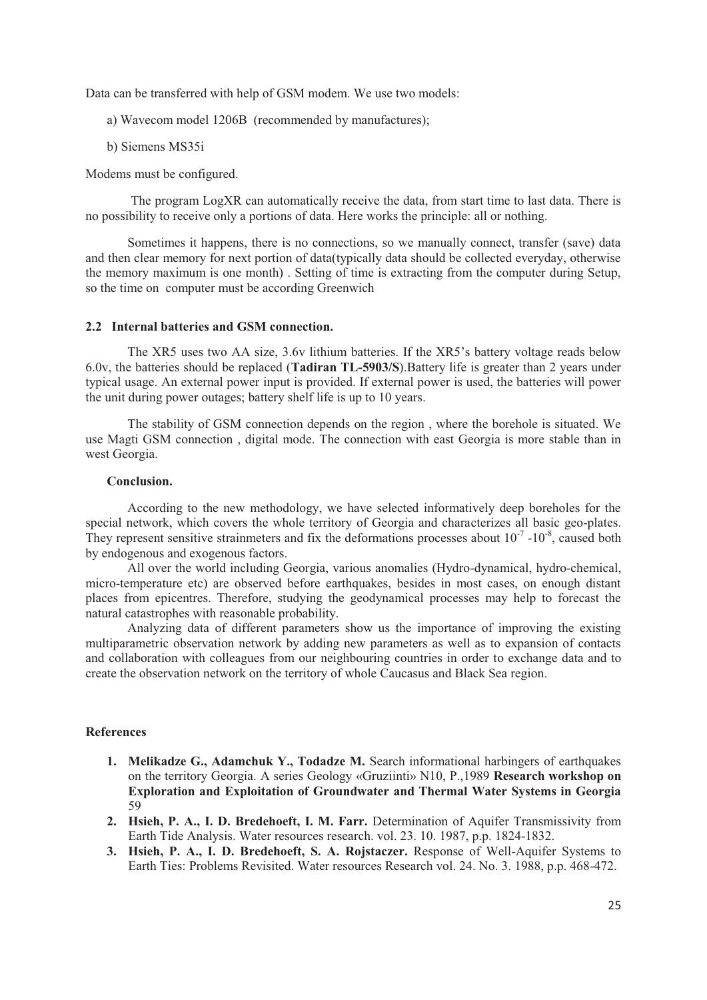Data can be transferred with help of GSM modem. We use two models:

- a) Wavecom model 1206B (recommended by manufactures);
- b) Siemens MS35i

Modems must be configured.

 The program LogXR can automatically receive the data, from start time to last data. There is no possibility to receive only a portions of data. Here works the principle: all or nothing.

Sometimes it happens, there is no connections, so we manually connect, transfer (save) data and then clear memory for next portion of data(typically data should be collected everyday, otherwise the memory maximum is one month) . Setting of time is extracting from the computer during Setup, so the time on computer must be according Greenwich

#### **2.2 Internal batteries and GSM connection.**

The XR5 uses two AA size, 3.6v lithium batteries. If the XR5's battery voltage reads below 6.0v, the batteries should be replaced (**Tadiran TL-5903/S**).Battery life is greater than 2 years under typical usage. An external power input is provided. If external power is used, the batteries will power the unit during power outages; battery shelf life is up to 10 years.

The stability of GSM connection depends on the region , where the borehole is situated. We use Magti GSM connection , digital mode. The connection with east Georgia is more stable than in west Georgia.

# **Conclusion.**

According to the new methodology, we have selected informatively deep boreholes for the special network, which covers the whole territory of Georgia and characterizes all basic geo-plates. They represent sensitive strainmeters and fix the deformations processes about  $10^{-7}$  -10<sup>-8</sup>, caused both by endogenous and exogenous factors.

All over the world including Georgia, various anomalies (Hydro-dynamical, hydro-chemical, micro-temperature etc) are observed before earthquakes, besides in most cases, on enough distant places from epicentres. Therefore, studying the geodynamical processes may help to forecast the natural catastrophes with reasonable probability.

Analyzing data of different parameters show us the importance of improving the existing multiparametric observation network by adding new parameters as well as to expansion of contacts and collaboration with colleagues from our neighbouring countries in order to exchange data and to create the observation network on the territory of whole Caucasus and Black Sea region.

## **References**

- **1. Melikadze G., Adamchuk Y., Todadze M.** Search informational harbingers of earthquakes on the territory Georgia. A series Geology «Gruziinti» N10, P.,1989 **Research workshop on Exploration and Exploitation of Groundwater and Thermal Water Systems in Georgia**  59
- **2. Hsieh, P. A., I. D. Bredehoeft, I. M. Farr.** Determination of Aquifer Transmissivity from Earth Tide Analysis. Water resources research. vol. 23. 10. 1987, p.p. 1824-1832.
- **3. Hsieh, P. A., I. D. Bredehoeft, S. A. Rojstaczer.** Response of Well-Aquifer Systems to Earth Ties: Problems Revisited. Water resources Research vol. 24. No. 3. 1988, p.p. 468-472.